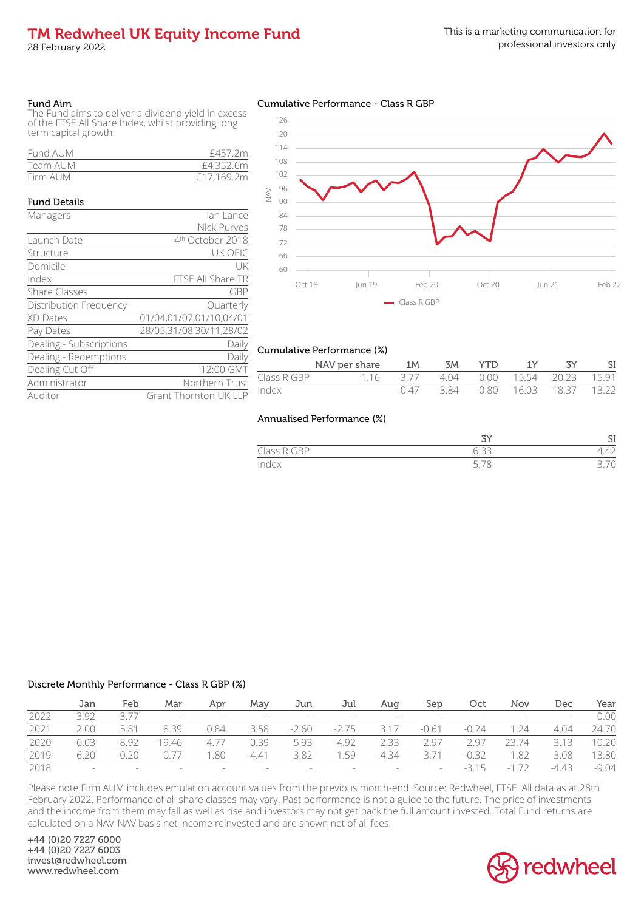# TM Redwheel UK Equity Income Fund

28 February 2022

### Fund Aim

The Fund aims to deliver a dividend yield in excess of the FTSE All Share Index, whilst providing long term capital growth.

| Fund AUM | £457.2m    |
|----------|------------|
| Team AUM | £4,352.6m  |
| Firm AUM | £17,169.2m |

## Fund Details Managers **Ian Lance** Nick Purves Launch Date  $4<sup>th</sup>$  October 2018<br>
Structure UK OEIC Structure Domicile UK Index FTSE All Share TR Share Classes GBP Distribution Frequency **Quarterly** XD Dates 01/04,01/07,01/10,04/01 Pay Dates 28/05,31/08,30/11,28/02 Dealing - Subscriptions Daily Dealing - Redemptions Daily Dealing Cut Off 12:00 GMT Administrator Northern Trust Auditor Grant Thornton UK LLP

## Cumulative Performance - Class R GBP



## Cumulative Performance (%)

|             | NAV per share                          | 1M      | 3M | YTD. | 1Y |                          |  |
|-------------|----------------------------------------|---------|----|------|----|--------------------------|--|
| Class R GBP | 1.16 -3.77 4.04 0.00 15.54 20.23 15.91 |         |    |      |    |                          |  |
| Index       |                                        | $-0.47$ |    |      |    | 384 - 080 1603 1837 1322 |  |

## Annualised Performance (%)

|                            |                        | ິ                        |
|----------------------------|------------------------|--------------------------|
| 200<br>- 1<br>$\sim$<br>-- | $\cup$ . $\cup$ $\cup$ |                          |
| dex                        | ◡<br>$\cup$            | $\overline{\phantom{0}}$ |

## Discrete Monthly Performance - Class R GBP (%)

|      | Jan     | Feb     | Mar      | Apr    | May                      | Jun     | Jul                      | Aua    | Sep     | Oct     | Nov                     | Dec        | Year     |
|------|---------|---------|----------|--------|--------------------------|---------|--------------------------|--------|---------|---------|-------------------------|------------|----------|
| 2022 | 3.92    | $-377$  | $\sim$   | $\sim$ | $-$                      |         | $-$                      | $-$    | $\sim$  |         | $\sim 100$ km s $^{-1}$ | $\sim$ $-$ | 0.00     |
| 2021 | 2.00    | 5.81    | 8.39     | 0.84   | 3.58                     | $-2.60$ | $-2.75$                  | 3.17   | $-0.61$ | $-0.24$ | .24                     | 4.04       | 24.70    |
| 2020 | $-6.03$ | $-8.92$ | $-19.46$ | 4.77   | 0.39                     | 5.93    | $-4.92$                  | 2.33   | $-2.97$ | $-297$  | 23.74                   | 3.13       | $-10.20$ |
| 2019 | 6.20    | $-0.20$ | 0.77     | .80    | $-4.41$                  | 3.82    | .59                      | $-434$ | 371     | $-0.32$ | .82                     | 3.08       | 13.80    |
| 2018 | $-$     |         | $\sim$   |        | $\overline{\phantom{0}}$ |         | $\overline{\phantom{0}}$ |        | $-$     | $-315$  | $-1$                    | $-4.43$    | $-9.04$  |

Please note Firm AUM includes emulation account values from the previous month-end. Source: Redwheel, FTSE. All data as at 28th February 2022. Performance of all share classes may vary. Past performance is not a guide to the future. The price of investments and the income from them may fall as well as rise and investors may not get back the full amount invested. Total Fund returns are calculated on a NAV-NAV basis net income reinvested and are shown net of all fees.

+44 (0)20 7227 6000 +44 (0)20 7227 6003 invest@redwheel.com www.redwheel.com

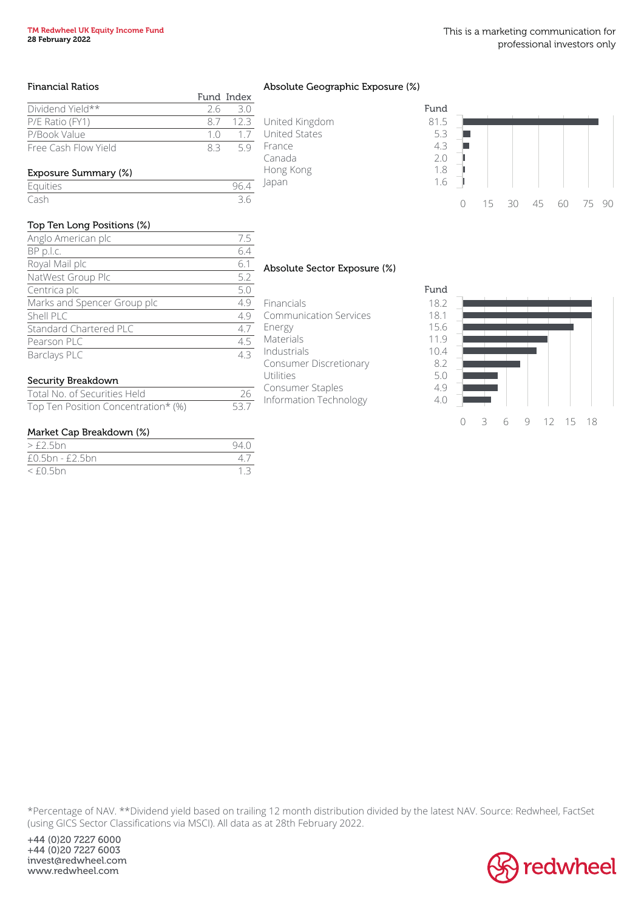## Financial Ratios

|                      |     | Fund Index |
|----------------------|-----|------------|
| Dividend Yield**     |     | 2630       |
| P/E Ratio (FY1)      |     | 87 123     |
| P/Book Value         | 1 N | 17         |
| Free Cash Flow Yield | 83  | 59         |

# Exposure Summary (%)

# Equities 96.4

# Cash 3.6

# Top Ten Long Positions (%)

| Anglo American plc          | 7.5 |
|-----------------------------|-----|
| BP p.l.c.                   | 6.4 |
| Royal Mail plc              | 6.1 |
| NatWest Group Plc           | 5.2 |
| Centrica plc                | 5.0 |
| Marks and Spencer Group plc | 4.9 |
| Shell PLC                   | 4.9 |
| Standard Chartered PLC      | 4.7 |
| Pearson PLC                 | 4.5 |
| Barclays PLC                | 43  |
|                             |     |

# Security Breakdown

| Total No. of Securities Held        | 26   |
|-------------------------------------|------|
| Top Ten Position Concentration* (%) | 53.7 |

# Market Cap Breakdown (%)

| $>\text{\textsterling}2.5bn$ | 940 |
|------------------------------|-----|
| $£0.5bn - £2.5bn$            |     |
| $<$ £0.5bn                   |     |

# Absolute Geographic Exposure (%)

|                      | Fund |
|----------------------|------|
| United Kingdom       | 81.5 |
| <b>United States</b> | 5.3  |
| France               | 4.3  |
| Canada               | 2.0  |
| Hong Kong            | 1.8  |
| lapan                | 1.6  |
|                      |      |



# Absolute Sector Exposure (%)

Financials 18.2 Communication Services 18.1 Energy 15.6 Materials 11.9 Industrials 10.4 Consumer Discretionary 8.2 Utilities 5.0 Consumer Staples 4.9 Information Technology 4.0



\*Percentage of NAV. \*\*Dividend yield based on trailing 12 month distribution divided by the latest NAV. Source: Redwheel, FactSet (using GICS Sector Classifications via MSCI). All data as at 28th February 2022.

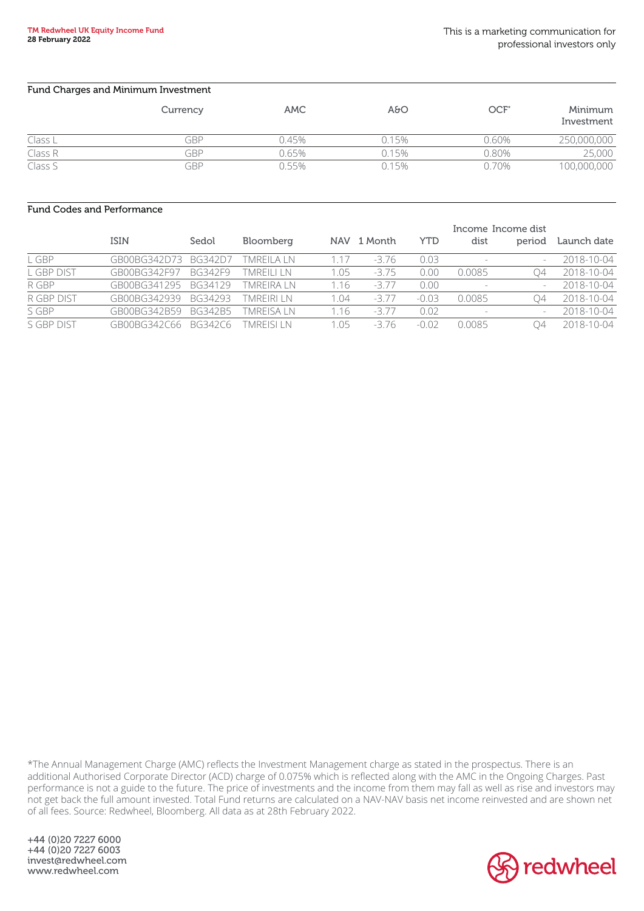| Fund Charges and Minimum Investment |          |            |       |                  |                       |  |  |  |  |
|-------------------------------------|----------|------------|-------|------------------|-----------------------|--|--|--|--|
|                                     | Currency | <b>AMC</b> | A&O   | OCF <sup>®</sup> | Minimum<br>Investment |  |  |  |  |
| Class L                             | GBP      | 0.45%      | 0.15% | 0.60%            | 250,000,000           |  |  |  |  |
| Class R                             | GRP      | 0.65%      | 0.15% | 0.80%            | 25,000                |  |  |  |  |
| Class S                             | GBP      | 0.55%      | 0.15% | 0.70%            | 100,000,000           |  |  |  |  |

## Fund Codes and Performance

|            | Income Income dist |         |                   |      |             |            |        |          |             |
|------------|--------------------|---------|-------------------|------|-------------|------------|--------|----------|-------------|
|            | <b>ISIN</b>        | Sedol   | Bloomberg         |      | NAV 1 Month | <b>YTD</b> | dist   | period   | Launch date |
| L GBP      | GB00BG342D73       | BG342D7 | TMRFII A I N      | 1.17 | $-3.76$     | 0.03       |        |          | 2018-10-04  |
| L GBP DIST | GB00BG342F97       | BG342F9 | <b>TMREILI LN</b> | 1.05 | $-3.75$     | 0.00       | 0.0085 | $\Delta$ | 2018-10-04  |
| R GBP      | GB00BG341295       | BG34129 | TMREIRA LN        | 1.16 | $-377$      | 0.00       |        |          | 2018-10-04  |
| R GBP DIST | GB00BG342939       | BG34293 | <b>TMREIRI LN</b> | 1.04 | $-3.77$     | $-0.03$    | 0.0085 | $\Delta$ | 2018-10-04  |
| S GBP      | GB00BG342B59       | BG342B5 | <b>TMRFISA IN</b> | 1.16 | $-377$      | 0.02       |        |          | 2018-10-04  |
| S GBP DIST | GB00BG342C66       | BG342C6 | <b>TMRFISI IN</b> | 1.05 | -376        | $-0.02$    | 0.0085 | 04       | 2018-10-04  |

\*The Annual Management Charge (AMC) reflects the Investment Management charge as stated in the prospectus. There is an additional Authorised Corporate Director (ACD) charge of 0.075% which is reflected along with the AMC in the Ongoing Charges. Past performance is not a guide to the future. The price of investments and the income from them may fall as well as rise and investors may not get back the full amount invested. Total Fund returns are calculated on a NAV-NAV basis net income reinvested and are shown net of all fees. Source: Redwheel, Bloomberg. All data as at 28th February 2022.

+44 (0)20 7227 6000 +44 (0)20 7227 6003 invest@redwheel.com www.redwheel.com